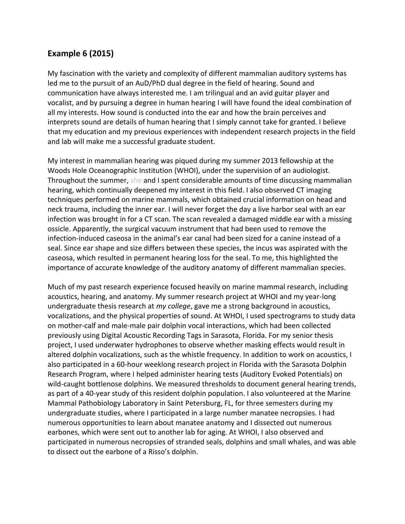## **Example 6 (2015)**

My fascination with the variety and complexity of different mammalian auditory systems has led me to the pursuit of an AuD/PhD dual degree in the field of hearing. Sound and communication have always interested me. I am trilingual and an avid guitar player and vocalist, and by pursuing a degree in human hearing I will have found the ideal combination of all my interests. How sound is conducted into the ear and how the brain perceives and interprets sound are details of human hearing that I simply cannot take for granted. I believe that my education and my previous experiences with independent research projects in the field and lab will make me a successful graduate student.

My interest in mammalian hearing was piqued during my summer 2013 fellowship at the Woods Hole Oceanographic Institution (WHOI), under the supervision of an audiologist. Throughout the summer, she and I spent considerable amounts of time discussing mammalian hearing, which continually deepened my interest in this field. I also observed CT imaging techniques performed on marine mammals, which obtained crucial information on head and neck trauma, including the inner ear. I will never forget the day a live harbor seal with an ear infection was brought in for a CT scan. The scan revealed a damaged middle ear with a missing ossicle. Apparently, the surgical vacuum instrument that had been used to remove the infection-induced caseosa in the animal's ear canal had been sized for a canine instead of a seal. Since ear shape and size differs between these species, the incus was aspirated with the caseosa, which resulted in permanent hearing loss for the seal. To me, this highlighted the importance of accurate knowledge of the auditory anatomy of different mammalian species.

Much of my past research experience focused heavily on marine mammal research, including acoustics, hearing, and anatomy. My summer research project at WHOI and my year-long undergraduate thesis research at *my college*, gave me a strong background in acoustics, vocalizations, and the physical properties of sound. At WHOI, I used spectrograms to study data on mother-calf and male-male pair dolphin vocal interactions, which had been collected previously using Digital Acoustic Recording Tags in Sarasota, Florida. For my senior thesis project, I used underwater hydrophones to observe whether masking effects would result in altered dolphin vocalizations, such as the whistle frequency. In addition to work on acoustics, I also participated in a 60-hour weeklong research project in Florida with the Sarasota Dolphin Research Program, where I helped administer hearing tests (Auditory Evoked Potentials) on wild-caught bottlenose dolphins. We measured thresholds to document general hearing trends, as part of a 40-year study of this resident dolphin population. I also volunteered at the Marine Mammal Pathobiology Laboratory in Saint Petersburg, FL, for three semesters during my undergraduate studies, where I participated in a large number manatee necropsies. I had numerous opportunities to learn about manatee anatomy and I dissected out numerous earbones, which were sent out to another lab for aging. At WHOI, I also observed and participated in numerous necropsies of stranded seals, dolphins and small whales, and was able to dissect out the earbone of a Risso's dolphin.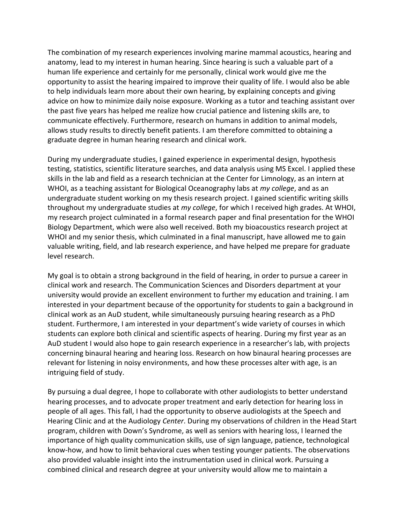The combination of my research experiences involving marine mammal acoustics, hearing and anatomy, lead to my interest in human hearing. Since hearing is such a valuable part of a human life experience and certainly for me personally, clinical work would give me the opportunity to assist the hearing impaired to improve their quality of life. I would also be able to help individuals learn more about their own hearing, by explaining concepts and giving advice on how to minimize daily noise exposure. Working as a tutor and teaching assistant over the past five years has helped me realize how crucial patience and listening skills are, to communicate effectively. Furthermore, research on humans in addition to animal models, allows study results to directly benefit patients. I am therefore committed to obtaining a graduate degree in human hearing research and clinical work.

During my undergraduate studies, I gained experience in experimental design, hypothesis testing, statistics, scientific literature searches, and data analysis using MS Excel. I applied these skills in the lab and field as a research technician at the Center for Limnology, as an intern at WHOI, as a teaching assistant for Biological Oceanography labs at *my college*, and as an undergraduate student working on my thesis research project. I gained scientific writing skills throughout my undergraduate studies at *my college*, for which I received high grades. At WHOI, my research project culminated in a formal research paper and final presentation for the WHOI Biology Department, which were also well received. Both my bioacoustics research project at WHOI and my senior thesis, which culminated in a final manuscript, have allowed me to gain valuable writing, field, and lab research experience, and have helped me prepare for graduate level research.

My goal is to obtain a strong background in the field of hearing, in order to pursue a career in clinical work and research. The Communication Sciences and Disorders department at your university would provide an excellent environment to further my education and training. I am interested in your department because of the opportunity for students to gain a background in clinical work as an AuD student, while simultaneously pursuing hearing research as a PhD student. Furthermore, I am interested in your department's wide variety of courses in which students can explore both clinical and scientific aspects of hearing. During my first year as an AuD student I would also hope to gain research experience in a researcher's lab, with projects concerning binaural hearing and hearing loss. Research on how binaural hearing processes are relevant for listening in noisy environments, and how these processes alter with age, is an intriguing field of study.

By pursuing a dual degree, I hope to collaborate with other audiologists to better understand hearing processes, and to advocate proper treatment and early detection for hearing loss in people of all ages. This fall, I had the opportunity to observe audiologists at the Speech and Hearing Clinic and at the Audiology *Center*. During my observations of children in the Head Start program, children with Down's Syndrome, as well as seniors with hearing loss, I learned the importance of high quality communication skills, use of sign language, patience, technological know-how, and how to limit behavioral cues when testing younger patients. The observations also provided valuable insight into the instrumentation used in clinical work. Pursuing a combined clinical and research degree at your university would allow me to maintain a